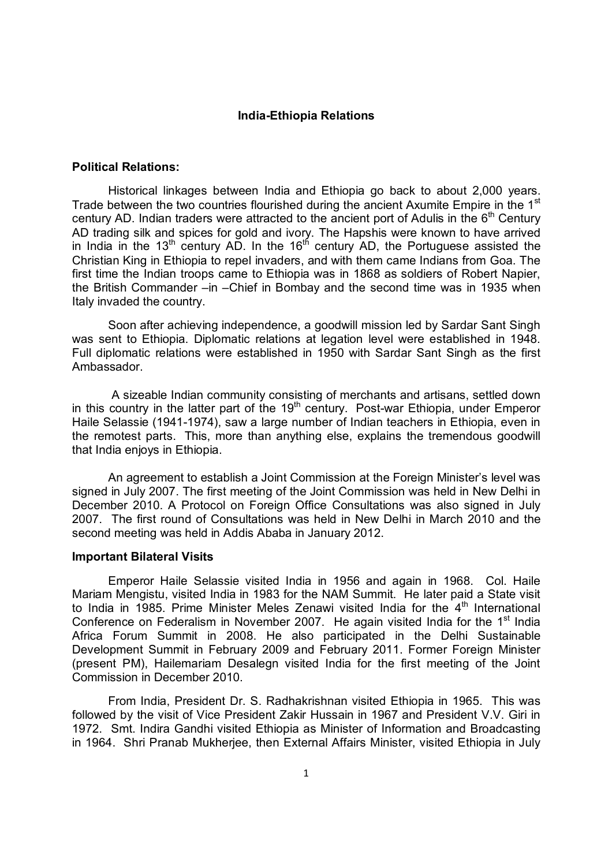## **India-Ethiopia Relations**

## **Political Relations:**

Historical linkages between India and Ethiopia go back to about 2,000 years. Trade between the two countries flourished during the ancient Axumite Empire in the 1<sup>st</sup> century AD. Indian traders were attracted to the ancient port of Adulis in the  $6<sup>th</sup>$  Century AD trading silk and spices for gold and ivory. The Hapshis were known to have arrived in India in the 13<sup>th</sup> century AD. In the 16<sup>th</sup> century AD, the Portuguese assisted the Christian King in Ethiopia to repel invaders, and with them came Indians from Goa. The first time the Indian troops came to Ethiopia was in 1868 as soldiers of Robert Napier, the British Commander –in –Chief in Bombay and the second time was in 1935 when Italy invaded the country.

Soon after achieving independence, a goodwill mission led by Sardar Sant Singh was sent to Ethiopia. Diplomatic relations at legation level were established in 1948. Full diplomatic relations were established in 1950 with Sardar Sant Singh as the first Ambassador.

A sizeable Indian community consisting of merchants and artisans, settled down in this country in the latter part of the  $19<sup>th</sup>$  century. Post-war Ethiopia, under Emperor Haile Selassie (1941-1974), saw a large number of Indian teachers in Ethiopia, even in the remotest parts. This, more than anything else, explains the tremendous goodwill that India enjoys in Ethiopia.

An agreement to establish a Joint Commission at the Foreign Minister's level was signed in July 2007. The first meeting of the Joint Commission was held in New Delhi in December 2010. A Protocol on Foreign Office Consultations was also signed in July 2007. The first round of Consultations was held in New Delhi in March 2010 and the second meeting was held in Addis Ababa in January 2012.

## **Important Bilateral Visits**

Emperor Haile Selassie visited India in 1956 and again in 1968. Col. Haile Mariam Mengistu, visited India in 1983 for the NAM Summit. He later paid a State visit to India in 1985. Prime Minister Meles Zenawi visited India for the  $4<sup>th</sup>$  International Conference on Federalism in November 2007. He again visited India for the  $1<sup>st</sup>$  India Africa Forum Summit in 2008. He also participated in the Delhi Sustainable Development Summit in February 2009 and February 2011. Former Foreign Minister (present PM), Hailemariam Desalegn visited India for the first meeting of the Joint Commission in December 2010.

From India, President Dr. S. Radhakrishnan visited Ethiopia in 1965. This was followed by the visit of Vice President Zakir Hussain in 1967 and President V.V. Giri in 1972. Smt. Indira Gandhi visited Ethiopia as Minister of Information and Broadcasting in 1964. Shri Pranab Mukherjee, then External Affairs Minister, visited Ethiopia in July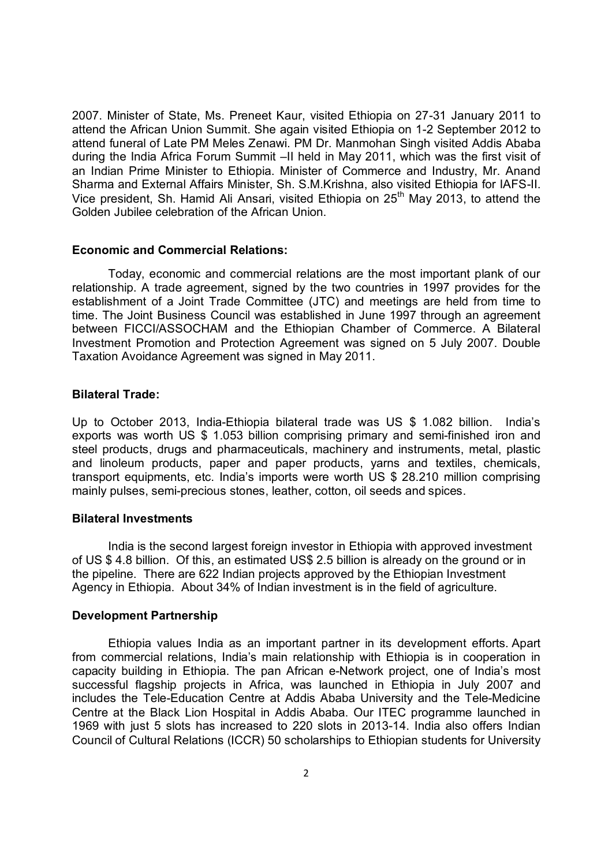2007. Minister of State, Ms. Preneet Kaur, visited Ethiopia on 27-31 January 2011 to attend the African Union Summit. She again visited Ethiopia on 1-2 September 2012 to attend funeral of Late PM Meles Zenawi. PM Dr. Manmohan Singh visited Addis Ababa during the India Africa Forum Summit –II held in May 2011, which was the first visit of an Indian Prime Minister to Ethiopia. Minister of Commerce and Industry, Mr. Anand Sharma and External Affairs Minister, Sh. S.M.Krishna, also visited Ethiopia for IAFS-II. Vice president. Sh. Hamid Ali Ansari, visited Ethiopia on 25<sup>th</sup> May 2013, to attend the Golden Jubilee celebration of the African Union.

## **Economic and Commercial Relations:**

Today, economic and commercial relations are the most important plank of our relationship. A trade agreement, signed by the two countries in 1997 provides for the establishment of a Joint Trade Committee (JTC) and meetings are held from time to time. The Joint Business Council was established in June 1997 through an agreement between FICCI/ASSOCHAM and the Ethiopian Chamber of Commerce. A Bilateral Investment Promotion and Protection Agreement was signed on 5 July 2007. Double Taxation Avoidance Agreement was signed in May 2011.

# **Bilateral Trade:**

Up to October 2013, India-Ethiopia bilateral trade was US \$ 1.082 billion. India's exports was worth US \$ 1.053 billion comprising primary and semi-finished iron and steel products, drugs and pharmaceuticals, machinery and instruments, metal, plastic and linoleum products, paper and paper products, yarns and textiles, chemicals, transport equipments, etc. India's imports were worth US \$ 28.210 million comprising mainly pulses, semi-precious stones, leather, cotton, oil seeds and spices.

## **Bilateral Investments**

India is the second largest foreign investor in Ethiopia with approved investment of US \$ 4.8 billion. Of this, an estimated US\$ 2.5 billion is already on the ground or in the pipeline. There are 622 Indian projects approved by the Ethiopian Investment Agency in Ethiopia. About 34% of Indian investment is in the field of agriculture.

## **Development Partnership**

Ethiopia values India as an important partner in its development efforts. Apart from commercial relations, India's main relationship with Ethiopia is in cooperation in capacity building in Ethiopia. The pan African e-Network project, one of India's most successful flagship projects in Africa, was launched in Ethiopia in July 2007 and includes the Tele-Education Centre at Addis Ababa University and the Tele-Medicine Centre at the Black Lion Hospital in Addis Ababa. Our ITEC programme launched in 1969 with just 5 slots has increased to 220 slots in 2013-14. India also offers Indian Council of Cultural Relations (ICCR) 50 scholarships to Ethiopian students for University